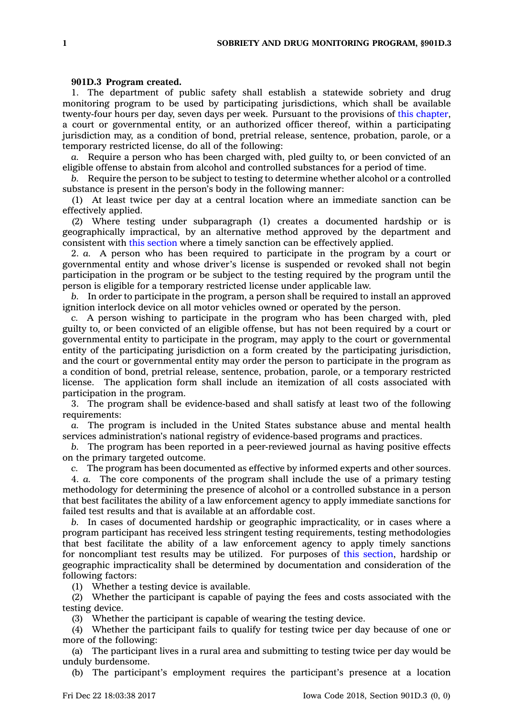## **901D.3 Program created.**

1. The department of public safety shall establish <sup>a</sup> statewide sobriety and drug monitoring program to be used by participating jurisdictions, which shall be available twenty-four hours per day, seven days per week. Pursuant to the provisions of this [chapter](https://www.legis.iowa.gov/docs/code//901D.pdf), <sup>a</sup> court or governmental entity, or an authorized officer thereof, within <sup>a</sup> participating jurisdiction may, as <sup>a</sup> condition of bond, pretrial release, sentence, probation, parole, or <sup>a</sup> temporary restricted license, do all of the following:

*a.* Require <sup>a</sup> person who has been charged with, pled guilty to, or been convicted of an eligible offense to abstain from alcohol and controlled substances for <sup>a</sup> period of time.

*b.* Require the person to be subject to testing to determine whether alcohol or <sup>a</sup> controlled substance is present in the person's body in the following manner:

(1) At least twice per day at <sup>a</sup> central location where an immediate sanction can be effectively applied.

(2) Where testing under subparagraph (1) creates <sup>a</sup> documented hardship or is geographically impractical, by an alternative method approved by the department and consistent with this [section](https://www.legis.iowa.gov/docs/code/901D.3.pdf) where <sup>a</sup> timely sanction can be effectively applied.

2. *a.* A person who has been required to participate in the program by <sup>a</sup> court or governmental entity and whose driver's license is suspended or revoked shall not begin participation in the program or be subject to the testing required by the program until the person is eligible for <sup>a</sup> temporary restricted license under applicable law.

*b.* In order to participate in the program, <sup>a</sup> person shall be required to install an approved ignition interlock device on all motor vehicles owned or operated by the person.

*c.* A person wishing to participate in the program who has been charged with, pled guilty to, or been convicted of an eligible offense, but has not been required by <sup>a</sup> court or governmental entity to participate in the program, may apply to the court or governmental entity of the participating jurisdiction on <sup>a</sup> form created by the participating jurisdiction, and the court or governmental entity may order the person to participate in the program as <sup>a</sup> condition of bond, pretrial release, sentence, probation, parole, or <sup>a</sup> temporary restricted license. The application form shall include an itemization of all costs associated with participation in the program.

3. The program shall be evidence-based and shall satisfy at least two of the following requirements:

*a.* The program is included in the United States substance abuse and mental health services administration's national registry of evidence-based programs and practices.

*b.* The program has been reported in <sup>a</sup> peer-reviewed journal as having positive effects on the primary targeted outcome.

*c.* The program has been documented as effective by informed experts and other sources.

4. *a.* The core components of the program shall include the use of <sup>a</sup> primary testing methodology for determining the presence of alcohol or <sup>a</sup> controlled substance in <sup>a</sup> person that best facilitates the ability of <sup>a</sup> law enforcement agency to apply immediate sanctions for failed test results and that is available at an affordable cost.

*b.* In cases of documented hardship or geographic impracticality, or in cases where <sup>a</sup> program participant has received less stringent testing requirements, testing methodologies that best facilitate the ability of <sup>a</sup> law enforcement agency to apply timely sanctions for noncompliant test results may be utilized. For purposes of this [section](https://www.legis.iowa.gov/docs/code/901D.3.pdf), hardship or geographic impracticality shall be determined by documentation and consideration of the following factors:

(1) Whether <sup>a</sup> testing device is available.

(2) Whether the participant is capable of paying the fees and costs associated with the testing device.

(3) Whether the participant is capable of wearing the testing device.

(4) Whether the participant fails to qualify for testing twice per day because of one or more of the following:

(a) The participant lives in <sup>a</sup> rural area and submitting to testing twice per day would be unduly burdensome.

(b) The participant's employment requires the participant's presence at <sup>a</sup> location